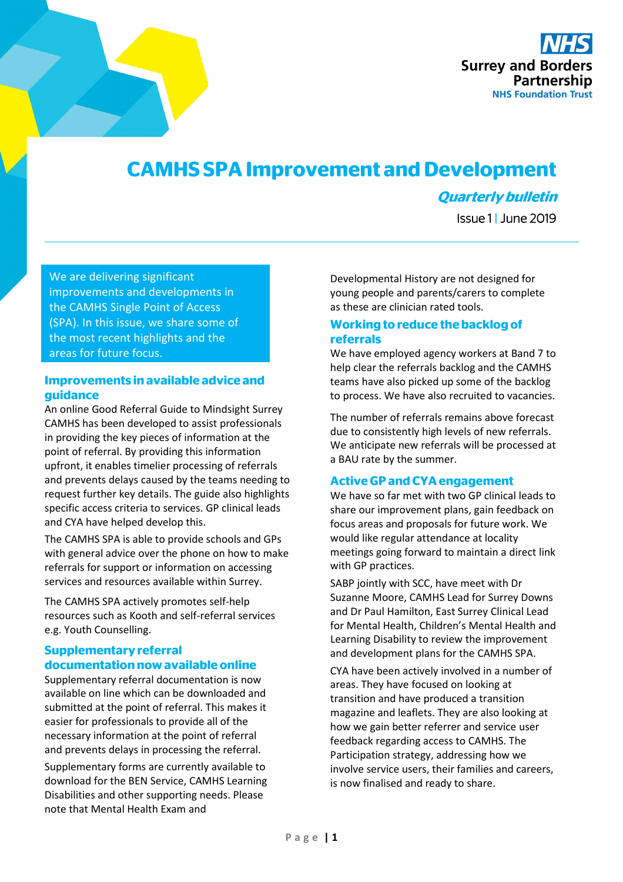

# **CAMHS SPAImprovement and Development**

# **Quarterly bulletin**

Issue 1 | June 2019

We are delivering significant improvements and developments in the CAMHS Single Point of Access (SPA). In this issue, we share some of the most recent highlights and the areas for future focus.

## **Improvements in available advice and guidance**

An online Good Referral Guide to Mindsight Surrey CAMHS has been developed to assist professionals in providing the key pieces of information at the point of referral. By providing this information upfront, it enables timelier processing of referrals and prevents delays caused by the teams needing to request further key details. The guide also highlights specific access criteria to services. GP clinical leads and CYA have helped develop this.

The CAMHS SPA is able to provide schools and GPs with general advice over the phone on how to make referrals for support or information on accessing services and resources available within Surrey.

The CAMHS SPA actively promotes self-help resources such as Kooth and self-referral services e.g. Youth Counselling.

# **Supplementary referral documentationnow available online**

Supplementary referral documentation is now available on line which can be downloaded and submitted at the point of referral. This makes it easier for professionals to provide all of the necessary information at the point of referral and prevents delays in processing the referral.

Supplementary forms are currently available to download for the BEN Service, CAMHS Learning Disabilities and other supporting needs. Please note that Mental Health Exam and

Developmental History are not designed for young people and parents/carers to complete as these are clinician rated tools.

# **Working to reduce the backlog of referrals**

We have employed agency workers at Band 7 to help clear the referrals backlog and the CAMHS teams have also picked up some of the backlog to process. We have also recruited to vacancies.

The number of referrals remains above forecast due to consistently high levels of new referrals. We anticipate new referrals will be processed at a BAU rate by the summer.

# **Active GP and CYA engagement**

We have so far met with two GP clinical leads to share our improvement plans, gain feedback on focus areas and proposals for future work. We would like regular attendance at locality meetings going forward to maintain a direct link with GP practices.

SABP jointly with SCC, have meet with Dr Suzanne Moore, CAMHS Lead for Surrey Downs and Dr Paul Hamilton, East Surrey Clinical Lead for Mental Health, Children's Mental Health and Learning Disability to review the improvement and development plans for the CAMHS SPA.

CYA have been actively involved in a number of areas. They have focused on looking at transition and have produced a transition magazine and leaflets. They are also looking at how we gain better referrer and service user feedback regarding access to CAMHS. The Participation strategy, addressing how we involve service users, their families and careers, is now finalised and ready to share.